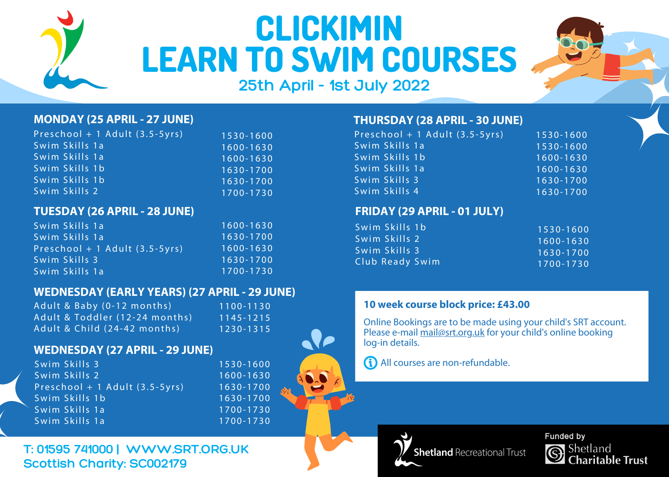

# **CLICKIMIN LEARN TO SWIM COURSES**



## **25th April - 1st July 2022**

#### **MONDAY (25 APRIL - 27 JUNE) THURSDAY (28 APRIL - 30 JUNE)**

| Preschool + 1 Adult (3.5-5yrs) | 1530-1600     |
|--------------------------------|---------------|
| Swim Skills 1a                 | 1600-1630     |
| Swim Skills 1a                 | 1600-1630     |
| Swim Skills 1b                 | 1630-1700     |
| Swim Skills 1b                 | $1630 - 1700$ |
| Swim Skills 2                  | 1700-1730     |

#### **TUESDAY (26 APRIL - 28 JUNE) FRIDAY (29 APRIL - 01 JULY)**

| Swim Skills 1a                 | 1600-1630     |
|--------------------------------|---------------|
| Swim Skills 1a                 | 1630-1700     |
| Preschool + 1 Adult (3.5-5yrs) | $1600 - 1630$ |
| Swim Skills 3                  | $1630 - 1700$ |
| Swim Skills 1a                 | 1700-1730     |

#### **WEDNESDAY (EARLY YEARS) (27 APRIL - 29 JUNE)**

| Adult & Baby (0-12 months)     | 1100-1130 |
|--------------------------------|-----------|
| Adult & Toddler (12-24 months) | 1145-1215 |
| Adult & Child (24-42 months)   | 1230-1315 |

#### **WEDNESDAY (27 APRIL - 29 JUNE)**

| Swim Skills 3                  | 1530-1600 |
|--------------------------------|-----------|
|                                |           |
| Swim Skills 2                  | 1600-1630 |
| Preschool + 1 Adult (3.5-5yrs) | 1630-1700 |
| Swim Skills 1b                 | 1630-1700 |
| Swim Skills 1a                 | 1700-1730 |
| Swim Skills 1a                 | 1700-1730 |

## **T: 01595 741000 | WWW.SRT.ORG.UK Scottish Charity: SC002179**

| Preschool + 1 Adult (3.5-5yrs) | 1530-1600 |
|--------------------------------|-----------|
| Swim Skills 1a                 | 1530-1600 |
| Swim Skills 1b                 | 1600-1630 |
| Swim Skills 1a                 | 1600-1630 |
| Swim Skills 3                  | 1630-1700 |
| Swim Skills 4                  | 1630-1700 |

| 1530-1600     |
|---------------|
| $1600 - 1630$ |
| $1630 - 1700$ |
| 1700-1730     |
|               |

#### **10 week course block price: £43.00**

Online Bookings are to be made using your child's SRT account. Please e-mail mail@srt.org.uk for your child's online booking log-in details.

All courses are non-refundable.